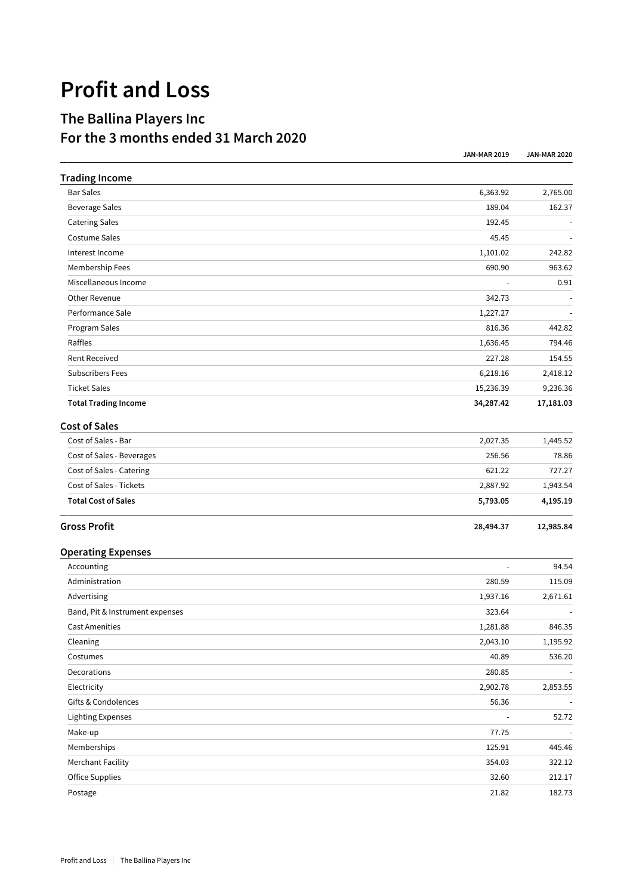## **Profit and Loss**

## **The Ballina Players Inc For the 3 months ended 31 March 2020**

| <b>Trading Income</b>                               |                |                  |
|-----------------------------------------------------|----------------|------------------|
| <b>Bar Sales</b>                                    | 6,363.92       | 2,765.00         |
| <b>Beverage Sales</b>                               | 189.04         | 162.37           |
| <b>Catering Sales</b>                               | 192.45         |                  |
| Costume Sales<br>Interest Income<br>Membership Fees | 45.45          | 242.82<br>963.62 |
|                                                     | 1,101.02       |                  |
|                                                     | 690.90         |                  |
| Miscellaneous Income                                |                | 0.91             |
| Other Revenue                                       | 342.73         |                  |
| Performance Sale                                    | 1,227.27       |                  |
| Program Sales                                       | 816.36         | 442.82           |
| Raffles                                             | 1,636.45       | 794.46           |
| <b>Rent Received</b>                                | 227.28         | 154.55           |
| <b>Subscribers Fees</b>                             | 6,218.16       | 2,418.12         |
| <b>Ticket Sales</b>                                 | 15,236.39      | 9,236.36         |
| <b>Total Trading Income</b>                         | 34,287.42      | 17,181.03        |
| <b>Cost of Sales</b>                                |                |                  |
| Cost of Sales - Bar                                 | 2,027.35       | 1,445.52         |
| Cost of Sales - Beverages                           | 256.56         | 78.86            |
| Cost of Sales - Catering                            | 621.22         | 727.27           |
| Cost of Sales - Tickets                             | 2,887.92       | 1,943.54         |
| <b>Total Cost of Sales</b>                          | 5,793.05       | 4,195.19         |
| <b>Gross Profit</b>                                 | 28,494.37      | 12,985.84        |
| <b>Operating Expenses</b>                           |                |                  |
| Accounting                                          |                | 94.54            |
| Administration                                      | 280.59         | 115.09           |
| Advertising                                         | 1,937.16       | 2,671.61         |
| Band, Pit & Instrument expenses                     | 323.64         |                  |
| <b>Cast Amenities</b>                               | 1,281.88       | 846.35           |
| Cleaning                                            | 2,043.10       | 1,195.92         |
| Costumes                                            | 40.89          | 536.20           |
| Decorations                                         | 280.85         |                  |
| Electricity                                         | 2,902.78       | 2,853.55         |
| Gifts & Condolences                                 | 56.36          |                  |
| <b>Lighting Expenses</b>                            | $\blacksquare$ | 52.72            |
| Make-up                                             | 77.75          |                  |
| Memberships                                         | 125.91         | 445.46           |
| <b>Merchant Facility</b>                            | 354.03         | 322.12           |
| Office Supplies                                     | 32.60          | 212.17           |
| Postage                                             | 21.82          | 182.73           |

**JAN-MAR 2019 JAN-MAR 2020**